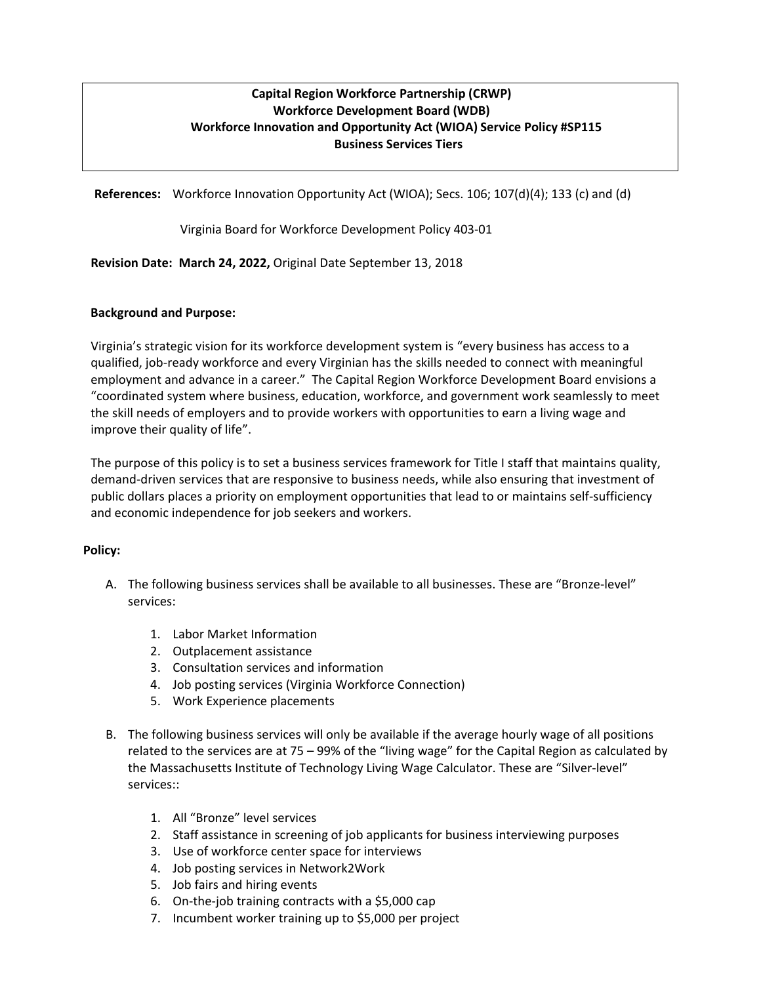## **Capital Region Workforce Partnership (CRWP) Workforce Development Board (WDB) Workforce Innovation and Opportunity Act (WIOA) Service Policy #SP115 Business Services Tiers**

**References:** Workforce Innovation Opportunity Act (WIOA); Secs. 106; 107(d)(4); 133 (c) and (d)

Virginia Board for Workforce Development Policy 403-01

**Revision Date: March 24, 2022,** Original Date September 13, 2018

## **Background and Purpose:**

Virginia's strategic vision for its workforce development system is "every business has access to a qualified, job-ready workforce and every Virginian has the skills needed to connect with meaningful employment and advance in a career." The Capital Region Workforce Development Board envisions a "coordinated system where business, education, workforce, and government work seamlessly to meet the skill needs of employers and to provide workers with opportunities to earn a living wage and improve their quality of life".

The purpose of this policy is to set a business services framework for Title I staff that maintains quality, demand-driven services that are responsive to business needs, while also ensuring that investment of public dollars places a priority on employment opportunities that lead to or maintains self-sufficiency and economic independence for job seekers and workers.

## **Policy:**

- A. The following business services shall be available to all businesses. These are "Bronze-level" services:
	- 1. Labor Market Information
	- 2. Outplacement assistance
	- 3. Consultation services and information
	- 4. Job posting services (Virginia Workforce Connection)
	- 5. Work Experience placements
- B. The following business services will only be available if the average hourly wage of all positions related to the services are at 75 – 99% of the "living wage" for the Capital Region as calculated by the Massachusetts Institute of Technology Living Wage Calculator. These are "Silver-level" services::
	- 1. All "Bronze" level services
	- 2. Staff assistance in screening of job applicants for business interviewing purposes
	- 3. Use of workforce center space for interviews
	- 4. Job posting services in Network2Work
	- 5. Job fairs and hiring events
	- 6. On-the-job training contracts with a \$5,000 cap
	- 7. Incumbent worker training up to \$5,000 per project